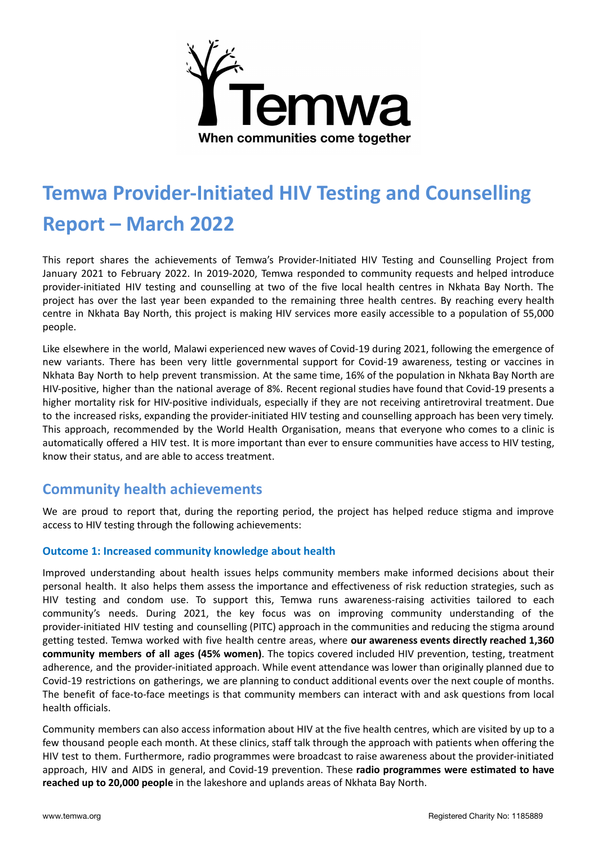

# **Temwa Provider-Initiated HIV Testing and Counselling Report – March 2022**

This report shares the achievements of Temwa's Provider-Initiated HIV Testing and Counselling Project from January 2021 to February 2022. In 2019-2020, Temwa responded to community requests and helped introduce provider-initiated HIV testing and counselling at two of the five local health centres in Nkhata Bay North. The project has over the last year been expanded to the remaining three health centres. By reaching every health centre in Nkhata Bay North, this project is making HIV services more easily accessible to a population of 55,000 people.

Like elsewhere in the world, Malawi experienced new waves of Covid-19 during 2021, following the emergence of new variants. There has been very little governmental support for Covid-19 awareness, testing or vaccines in Nkhata Bay North to help prevent transmission. At the same time, 16% of the population in Nkhata Bay North are HIV-positive, higher than the national average of 8%. Recent regional studies have found that Covid-19 presents a higher mortality risk for HIV-positive individuals, especially if they are not receiving antiretroviral treatment. Due to the increased risks, expanding the provider-initiated HIV testing and counselling approach has been very timely. This approach, recommended by the World Health Organisation, means that everyone who comes to a clinic is automatically offered a HIV test. It is more important than ever to ensure communities have access to HIV testing, know their status, and are able to access treatment.

# **Community health achievements**

We are proud to report that, during the reporting period, the project has helped reduce stigma and improve access to HIV testing through the following achievements:

## **Outcome 1: Increased community knowledge about health**

Improved understanding about health issues helps community members make informed decisions about their personal health. It also helps them assess the importance and effectiveness of risk reduction strategies, such as HIV testing and condom use. To support this, Temwa runs awareness-raising activities tailored to each community's needs. During 2021, the key focus was on improving community understanding of the provider-initiated HIV testing and counselling (PITC) approach in the communities and reducing the stigma around getting tested. Temwa worked with five health centre areas, where **our awareness events directly reached 1,360 community members of all ages (45% women)**. The topics covered included HIV prevention, testing, treatment adherence, and the provider-initiated approach. While event attendance was lower than originally planned due to Covid-19 restrictions on gatherings, we are planning to conduct additional events over the next couple of months. The benefit of face-to-face meetings is that community members can interact with and ask questions from local health officials.

Community members can also access information about HIV at the five health centres, which are visited by up to a few thousand people each month. At these clinics, staff talk through the approach with patients when offering the HIV test to them. Furthermore, radio programmes were broadcast to raise awareness about the provider-initiated approach, HIV and AIDS in general, and Covid-19 prevention. These **radio programmes were estimated to have reached up to 20,000 people** in the lakeshore and uplands areas of Nkhata Bay North.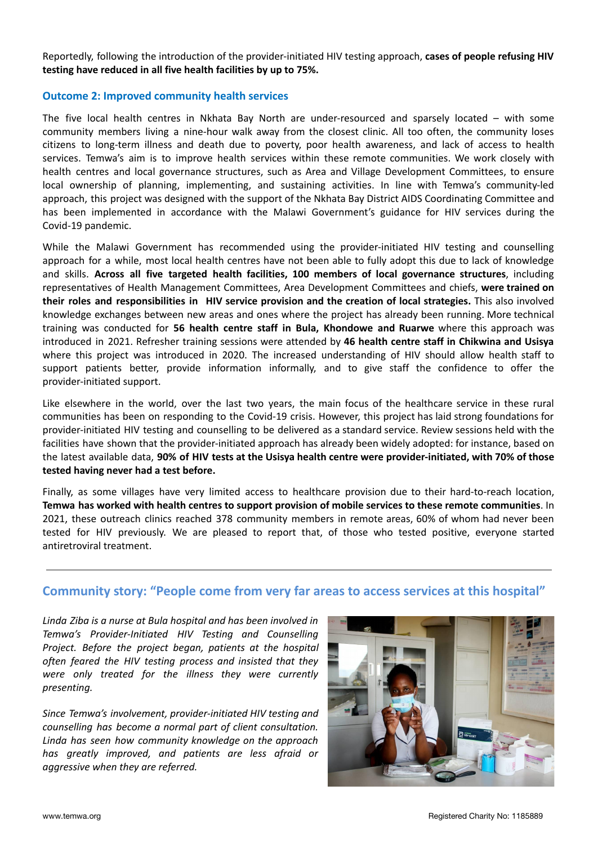Reportedly, following the introduction of the provider-initiated HIV testing approach, **cases of people refusing HIV testing have reduced in all five health facilities by up to 75%.**

#### **Outcome 2: Improved community health services**

The five local health centres in Nkhata Bay North are under-resourced and sparsely located – with some community members living a nine-hour walk away from the closest clinic. All too often, the community loses citizens to long-term illness and death due to poverty, poor health awareness, and lack of access to health services. Temwa's aim is to improve health services within these remote communities. We work closely with health centres and local governance structures, such as Area and Village Development Committees, to ensure local ownership of planning, implementing, and sustaining activities. In line with Temwa's community-led approach, this project was designed with the support of the Nkhata Bay District AIDS Coordinating Committee and has been implemented in accordance with the Malawi Government's guidance for HIV services during the Covid-19 pandemic.

While the Malawi Government has recommended using the provider-initiated HIV testing and counselling approach for a while, most local health centres have not been able to fully adopt this due to lack of knowledge and skills. **Across all five targeted health facilities, 100 members of local governance structures**, including representatives of Health Management Committees, Area Development Committees and chiefs, **were trained on their roles and responsibilities in HIV service provision and the creation of local strategies.** This also involved knowledge exchanges between new areas and ones where the project has already been running. More technical training was conducted for **56 health centre staff in Bula, Khondowe and Ruarwe** where this approach was introduced in 2021. Refresher training sessions were attended by **46 health centre staff in Chikwina and Usisya** where this project was introduced in 2020. The increased understanding of HIV should allow health staff to support patients better, provide information informally, and to give staff the confidence to offer the provider-initiated support.

Like elsewhere in the world, over the last two years, the main focus of the healthcare service in these rural communities has been on responding to the Covid-19 crisis. However, this project has laid strong foundations for provider-initiated HIV testing and counselling to be delivered as a standard service. Review sessions held with the facilities have shown that the provider-initiated approach has already been widely adopted: for instance, based on the latest available data, **90% of HIV tests at the Usisya health centre were provider-initiated, with 70% of those tested having never had a test before.**

Finally, as some villages have very limited access to healthcare provision due to their hard-to-reach location, **Temwa has worked with health centres to support provision of mobile services to these remote communities**. In 2021, these outreach clinics reached 378 community members in remote areas, 60% of whom had never been tested for HIV previously. We are pleased to report that, of those who tested positive, everyone started antiretroviral treatment.

# **Community story: "People come from very far areas to access services at this hospital"**

*Linda Ziba is a nurse at Bula hospital and has been involved in Temwa's Provider-Initiated HIV Testing and Counselling Project. Before the project began, patients at the hospital often feared the HIV testing process and insisted that they were only treated for the illness they were currently presenting.*

*Since Temwa's involvement, provider-initiated HIV testing and counselling has become a normal part of client consultation. Linda has seen how community knowledge on the approach has greatly improved, and patients are less afraid or aggressive when they are referred.*